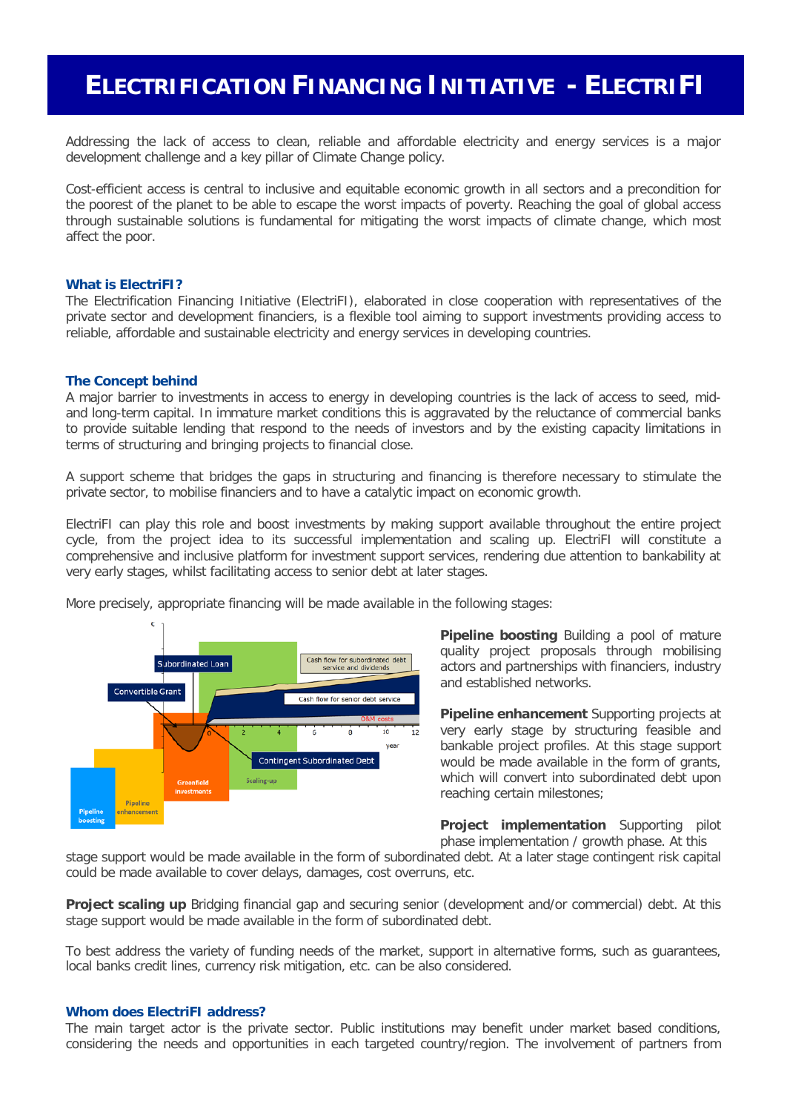# **ELECTRIFICATION FINANCING INITIATIVE - ELECTRIFI**

Addressing the lack of access to clean, reliable and affordable electricity and energy services is a major development challenge and a key pillar of Climate Change policy.

Cost-efficient access is central to inclusive and equitable economic growth in all sectors and a precondition for the poorest of the planet to be able to escape the worst impacts of poverty. Reaching the goal of global access through sustainable solutions is fundamental for mitigating the worst impacts of climate change, which most affect the poor.

### **What is ElectriFI?**

The Electrification Financing Initiative (ElectriFI), elaborated in close cooperation with representatives of the private sector and development financiers, is a flexible tool aiming to support investments providing access to reliable, affordable and sustainable electricity and energy services in developing countries.

### **The Concept behind**

A major barrier to investments in access to energy in developing countries is the lack of access to seed, midand long-term capital. In immature market conditions this is aggravated by the reluctance of commercial banks to provide suitable lending that respond to the needs of investors and by the existing capacity limitations in terms of structuring and bringing projects to financial close.

A support scheme that bridges the gaps in structuring and financing is therefore necessary to stimulate the private sector, to mobilise financiers and to have a catalytic impact on economic growth.

ElectriFI can play this role and boost investments by making support available throughout the entire project cycle, from the project idea to its successful implementation and scaling up. ElectriFI will constitute a comprehensive and inclusive platform for investment support services, rendering due attention to bankability at very early stages, whilst facilitating access to senior debt at later stages.

More precisely, appropriate financing will be made available in the following stages:



**Pipeline boosting** Building a pool of mature quality project proposals through mobilising actors and partnerships with financiers, industry and established networks.

**Pipeline enhancement** Supporting projects at very early stage by structuring feasible and bankable project profiles. At this stage support would be made available in the form of grants, which will convert into subordinated debt upon reaching certain milestones;

**Project implementation** Supporting pilot phase implementation / growth phase. At this

stage support would be made available in the form of subordinated debt. At a later stage contingent risk capital could be made available to cover delays, damages, cost overruns, etc.

**Project scaling up** Bridging financial gap and securing senior (development and/or commercial) debt. At this stage support would be made available in the form of subordinated debt.

To best address the variety of funding needs of the market, support in alternative forms, such as guarantees, local banks credit lines, currency risk mitigation, etc. can be also considered.

#### **Whom does ElectriFI address?**

The main target actor is the private sector. Public institutions may benefit under market based conditions, considering the needs and opportunities in each targeted country/region. The involvement of partners from